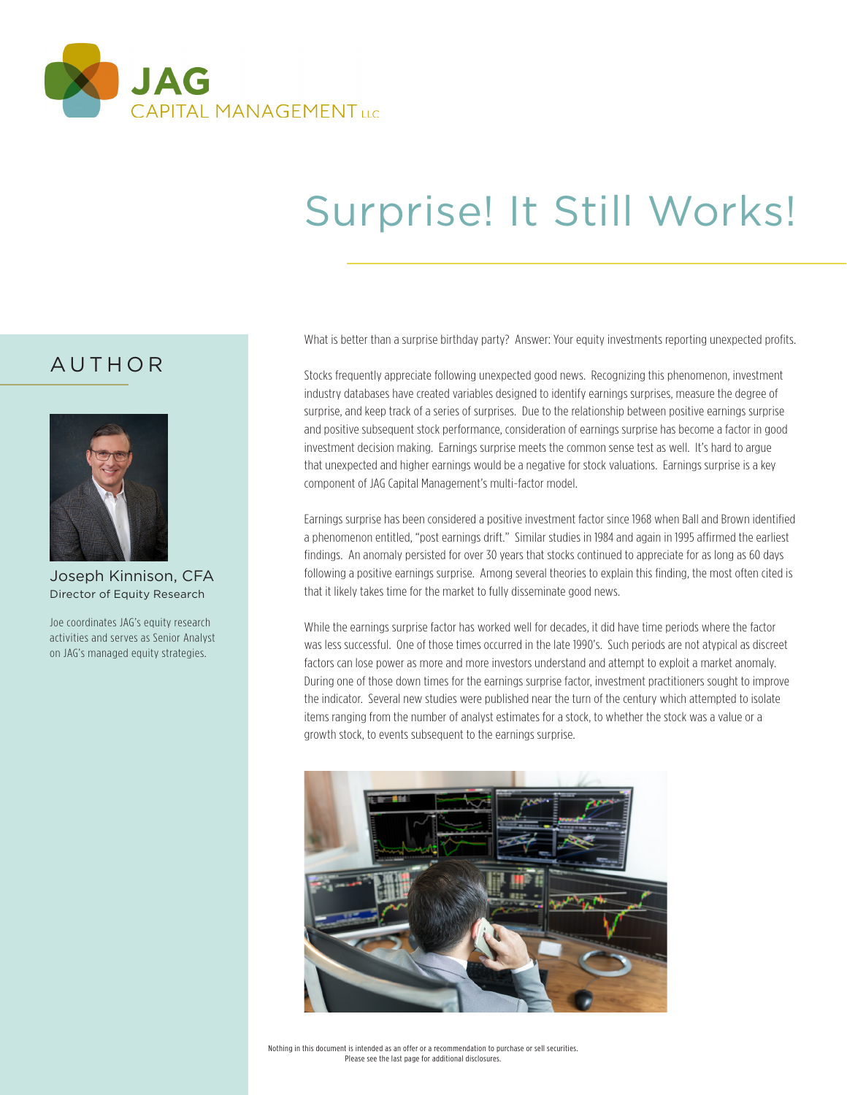

# Surprise! It Still Works!

What is better than a surprise birthday party? Answer: Your equity investments reporting unexpected profits.

Stocks frequently appreciate following unexpected good news. Recognizing this phenomenon, investment industry databases have created variables designed to identify earnings surprises, measure the degree of surprise, and keep track of a series of surprises. Due to the relationship between positive earnings surprise and positive subsequent stock performance, consideration of earnings surprise has become a factor in good investment decision making. Earnings surprise meets the common sense test as well. It's hard to argue that unexpected and higher earnings would be a negative for stock valuations. Earnings surprise is a key component of JAG Capital Management's multi-factor model.

Earnings surprise has been considered a positive investment factor since 1968 when Ball and Brown identified a phenomenon entitled, "post earnings drift." Similar studies in 1984 and again in 1995 affirmed the earliest findings. An anomaly persisted for over 30 years that stocks continued to appreciate for as long as 60 days following a positive earnings surprise. Among several theories to explain this finding, the most often cited is that it likely takes time for the market to fully disseminate good news.

While the earnings surprise factor has worked well for decades, it did have time periods where the factor was less successful. One of those times occurred in the late 1990's. Such periods are not atypical as discreet factors can lose power as more and more investors understand and attempt to exploit a market anomaly. During one of those down times for the earnings surprise factor, investment practitioners sought to improve the indicator. Several new studies were published near the turn of the century which attempted to isolate items ranging from the number of analyst estimates for a stock, to whether the stock was a value or a growth stock, to events subsequent to the earnings surprise.



Nothing in this document is intended as an offer or a recommendation to purchase or sell securities. Please see the last page for additional disclosures.

## AUTHOR



Joseph Kinnison, CFA Director of Equity Research

Joe coordinates JAG's equity research activities and serves as Senior Analyst on JAG's managed equity strategies.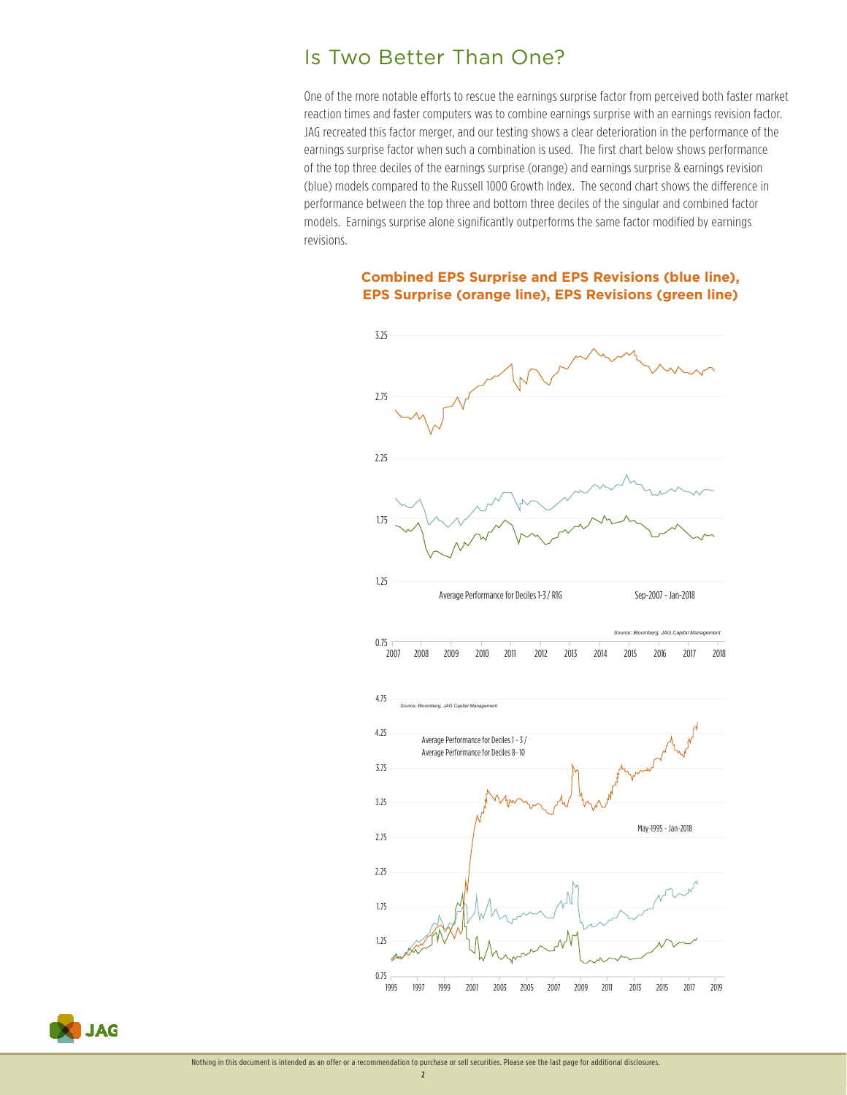## Is Two Better Than One?

One of the more notable efforts to rescue the earnings surprise factor from perceived both faster market reaction times and faster computers was to combine earnings surprise with an earnings revision factor. JAG recreated this factor merger, and our testing shows a clear deterioration in the performance of the earnings surprise factor when such a combination is used. The first chart below shows performance of the top three deciles of the earnings surprise (orange) and earnings surprise & earnings revision (blue) models compared to the Russell 1000 Growth Index. The second chart shows the difference in performance between the top three and bottom three deciles of the singular and combined factor models. Earnings surprise alone significantly outperforms the same factor modified by earnings revisions.

#### **Combined EPS Surprise and EPS Revisions (blue line), EPS Surprise (orange line), EPS Revisions (green line)**





2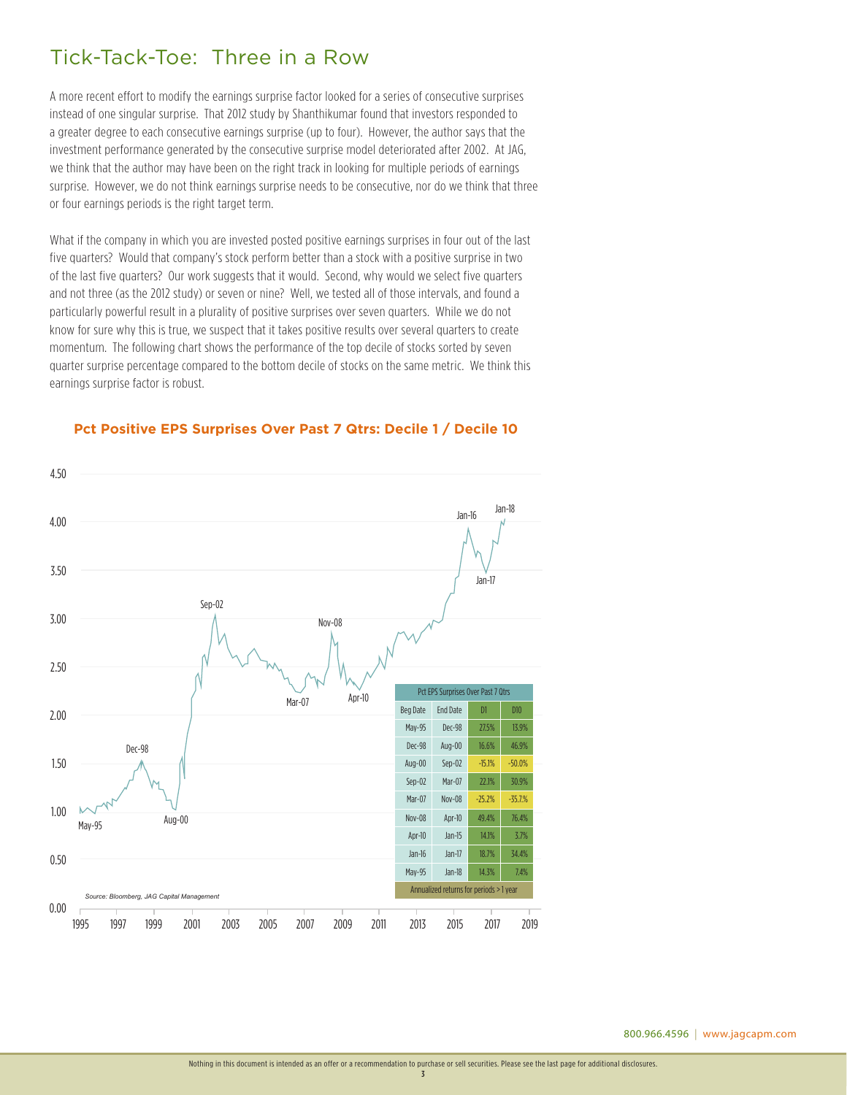## Tick-Tack-Toe: Three in a Row

A more recent effort to modify the earnings surprise factor looked for a series of consecutive surprises instead of one singular surprise. That 2012 study by Shanthikumar found that investors responded to a greater degree to each consecutive earnings surprise (up to four). However, the author says that the investment performance generated by the consecutive surprise model deteriorated after 2002. At JAG, we think that the author may have been on the right track in looking for multiple periods of earnings surprise. However, we do not think earnings surprise needs to be consecutive, nor do we think that three or four earnings periods is the right target term.

What if the company in which you are invested posted positive earnings surprises in four out of the last five quarters? Would that company's stock perform better than a stock with a positive surprise in two of the last five quarters? Our work suggests that it would. Second, why would we select five quarters and not three (as the 2012 study) or seven or nine? Well, we tested all of those intervals, and found a particularly powerful result in a plurality of positive surprises over seven quarters. While we do not know for sure why this is true, we suspect that it takes positive results over several quarters to create momentum. The following chart shows the performance of the top decile of stocks sorted by seven quarter surprise percentage compared to the bottom decile of stocks on the same metric. We think this earnings surprise factor is robust.



#### Pct Positive EPS Surprises Over Past 7 Qtrs: Decile 1 / Decile 10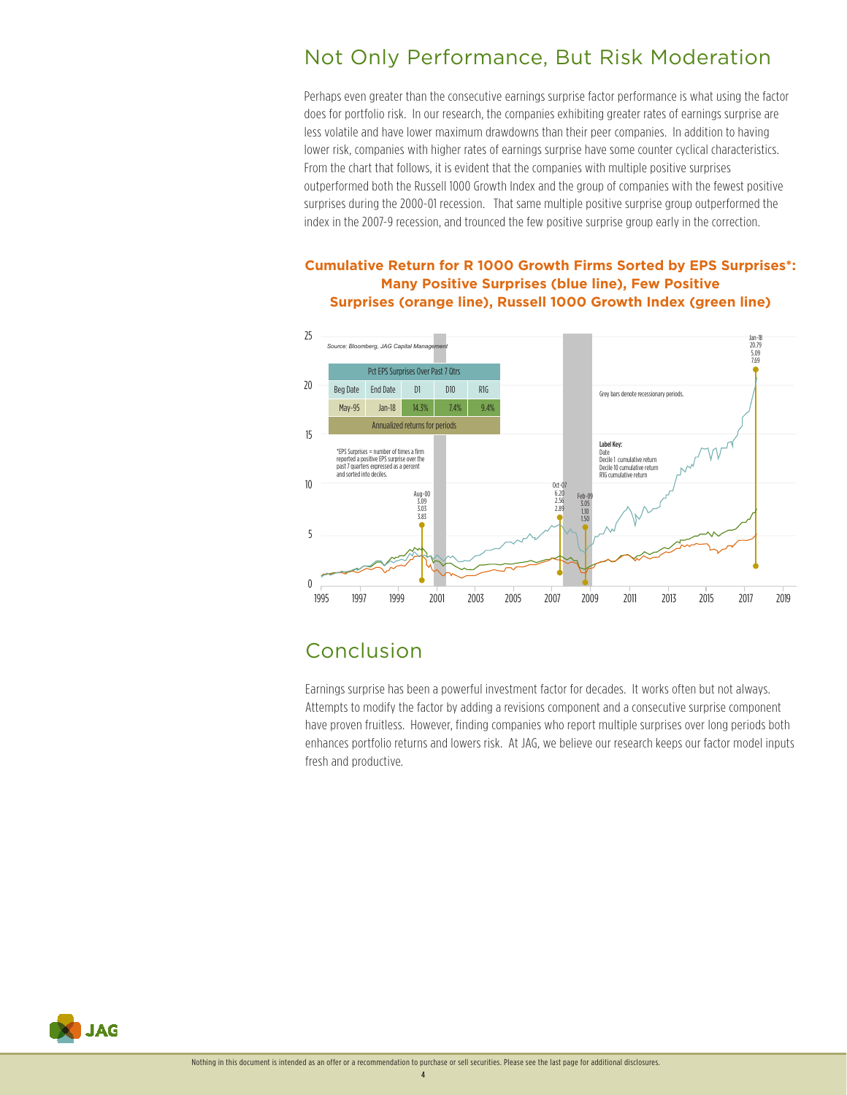## Not Only Performance, But Risk Moderation

Perhaps even greater than the consecutive earnings surprise factor performance is what using the factor does for portfolio risk. In our research, the companies exhibiting greater rates of earnings surprise are less volatile and have lower maximum drawdowns than their peer companies. In addition to having lower risk, companies with higher rates of earnings surprise have some counter cyclical characteristics. From the chart that follows, it is evident that the companies with multiple positive surprises outperformed both the Russell 1000 Growth Index and the group of companies with the fewest positive surprises during the 2000-01 recession. That same multiple positive surprise group outperformed the index in the 2007-9 recession, and trounced the few positive surprise group early in the correction.

#### **Cumulative Return for R 1000 Growth Firms Sorted by EPS Surprises\*: Many Positive Surprises (blue line), Few Positive Surprises (orange line), Russell 1000 Growth Index (green line)**



## Conclusion

Earnings surprise has been a powerful investment factor for decades. It works often but not always. Attempts to modify the factor by adding a revisions component and a consecutive surprise component have proven fruitless. However, finding companies who report multiple surprises over long periods both enhances portfolio returns and lowers risk. At JAG, we believe our research keeps our factor model inputs fresh and productive.